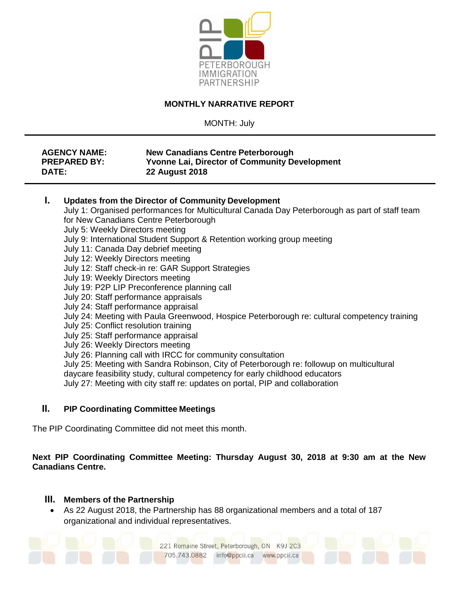

## **MONTHLY NARRATIVE REPORT**

MONTH: July

| <b>AGENCY NAME:</b> | <b>New Canadians Centre Peterborough</b>             |
|---------------------|------------------------------------------------------|
| <b>PREPARED BY:</b> | <b>Yvonne Lai, Director of Community Development</b> |
| DATE:               | <b>22 August 2018</b>                                |

#### **I. Updates from the Director of Community Development**

July 1: Organised performances for Multicultural Canada Day Peterborough as part of staff team for New Canadians Centre Peterborough July 5: Weekly Directors meeting

- July 9: International Student Support & Retention working group meeting
- July 11: Canada Day debrief meeting
- July 12: Weekly Directors meeting
- July 12: Staff check-in re: GAR Support Strategies
- July 19: Weekly Directors meeting
- July 19: P2P LIP Preconference planning call
- July 20: Staff performance appraisals
- July 24: Staff performance appraisal
- July 24: Meeting with Paula Greenwood, Hospice Peterborough re: cultural competency training
- July 25: Conflict resolution training
- July 25: Staff performance appraisal
- July 26: Weekly Directors meeting
- July 26: Planning call with IRCC for community consultation
- July 25: Meeting with Sandra Robinson, City of Peterborough re: followup on multicultural
- daycare feasibility study, cultural competency for early childhood educators
- July 27: Meeting with city staff re: updates on portal, PIP and collaboration

## **II. PIP Coordinating Committee Meetings**

The PIP Coordinating Committee did not meet this month.

## **Next PIP Coordinating Committee Meeting: Thursday August 30, 2018 at 9:30 am at the New Canadians Centre.**

221 Romaine Street, Peterborough, ON K9J 2C3

info@ppcii.ca www.ppcii.ca

#### **III. Members of the Partnership**

 As 22 August 2018, the Partnership has 88 organizational members and a total of 187 organizational and individual representatives.

705.743.0882